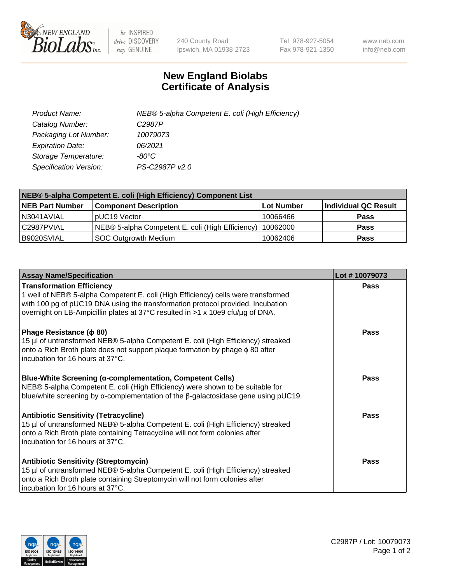

 $be$  INSPIRED drive DISCOVERY stay GENUINE

240 County Road Ipswich, MA 01938-2723 Tel 978-927-5054 Fax 978-921-1350 www.neb.com info@neb.com

## **New England Biolabs Certificate of Analysis**

| Product Name:                 | NEB® 5-alpha Competent E. coli (High Efficiency) |
|-------------------------------|--------------------------------------------------|
| Catalog Number:               | C <sub>2987</sub> P                              |
| Packaging Lot Number:         | 10079073                                         |
| <b>Expiration Date:</b>       | 06/2021                                          |
| Storage Temperature:          | -80°C                                            |
| <b>Specification Version:</b> | PS-C2987P v2.0                                   |

| NEB® 5-alpha Competent E. coli (High Efficiency) Component List |                                                  |            |                      |  |
|-----------------------------------------------------------------|--------------------------------------------------|------------|----------------------|--|
| <b>NEB Part Number</b>                                          | <b>Component Description</b>                     | Lot Number | Individual QC Result |  |
| N3041AVIAL                                                      | pUC19 Vector                                     | 10066466   | <b>Pass</b>          |  |
| C2987PVIAL                                                      | NEB® 5-alpha Competent E. coli (High Efficiency) | 10062000   | <b>Pass</b>          |  |
| B9020SVIAL                                                      | <b>SOC Outgrowth Medium</b>                      | 10062406   | <b>Pass</b>          |  |

| <b>Assay Name/Specification</b>                                                                                                                                                                                                                                                            | Lot #10079073 |
|--------------------------------------------------------------------------------------------------------------------------------------------------------------------------------------------------------------------------------------------------------------------------------------------|---------------|
| <b>Transformation Efficiency</b><br>1 well of NEB® 5-alpha Competent E. coli (High Efficiency) cells were transformed<br>with 100 pg of pUC19 DNA using the transformation protocol provided. Incubation<br>overnight on LB-Ampicillin plates at 37°C resulted in >1 x 10e9 cfu/µg of DNA. | Pass          |
| Phage Resistance ( $\phi$ 80)<br>15 µl of untransformed NEB® 5-alpha Competent E. coli (High Efficiency) streaked<br>onto a Rich Broth plate does not support plaque formation by phage $\phi$ 80 after<br>incubation for 16 hours at 37°C.                                                | Pass          |
| <b>Blue-White Screening (α-complementation, Competent Cells)</b><br>NEB® 5-alpha Competent E. coli (High Efficiency) were shown to be suitable for<br>blue/white screening by $\alpha$ -complementation of the $\beta$ -galactosidase gene using pUC19.                                    | Pass          |
| Antibiotic Sensitivity (Tetracycline)<br>15 µl of untransformed NEB® 5-alpha Competent E. coli (High Efficiency) streaked<br>onto a Rich Broth plate containing Tetracycline will not form colonies after<br>incubation for 16 hours at 37°C.                                              | Pass          |
| <b>Antibiotic Sensitivity (Streptomycin)</b><br>15 µl of untransformed NEB® 5-alpha Competent E. coli (High Efficiency) streaked<br>onto a Rich Broth plate containing Streptomycin will not form colonies after<br>incubation for 16 hours at 37°C.                                       | Pass          |